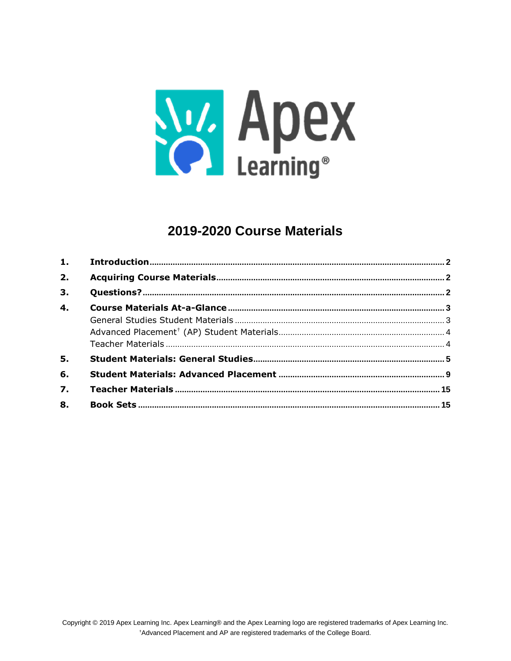

# 2019-2020 Course Materials

| 2.               |  |
|------------------|--|
| 3.               |  |
| $\overline{4}$ . |  |
|                  |  |
|                  |  |
|                  |  |
| 5.               |  |
| 6.               |  |
| $\overline{7}$ . |  |
| 8.               |  |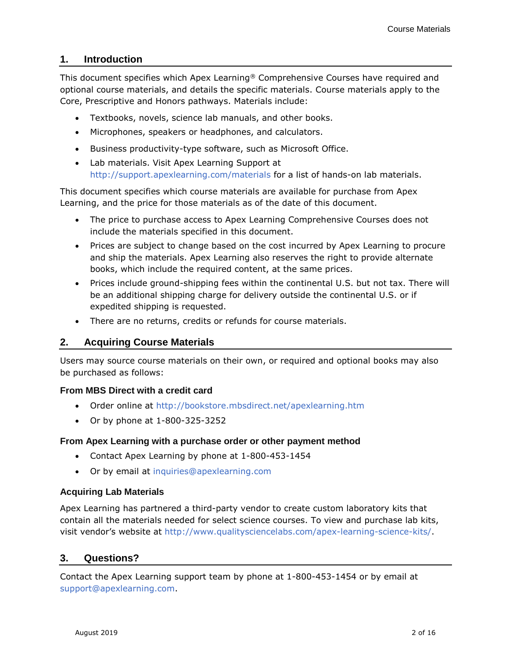# <span id="page-1-0"></span>**1. Introduction**

This document specifies which Apex Learning® Comprehensive Courses have required and optional course materials, and details the specific materials. Course materials apply to the Core, Prescriptive and Honors pathways. Materials include:

- Textbooks, novels, science lab manuals, and other books.
- Microphones, speakers or headphones, and calculators.
- Business productivity-type software, such as Microsoft Office.
- Lab materials. Visit Apex Learning Support at <http://support.apexlearning.com/materials> for a list of hands-on lab materials.

This document specifies which course materials are available for purchase from Apex Learning, and the price for those materials as of the date of this document.

- The price to purchase access to Apex Learning Comprehensive Courses does not include the materials specified in this document.
- Prices are subject to change based on the cost incurred by Apex Learning to procure and ship the materials. Apex Learning also reserves the right to provide alternate books, which include the required content, at the same prices.
- Prices include ground-shipping fees within the continental U.S. but not tax. There will be an additional shipping charge for delivery outside the continental U.S. or if expedited shipping is requested.
- There are no returns, credits or refunds for course materials.

# <span id="page-1-1"></span>**2. Acquiring Course Materials**

Users may source course materials on their own, or required and optional books may also be purchased as follows:

# **From MBS Direct with a credit card**

- Order online at<http://bookstore.mbsdirect.net/apexlearning.htm>
- Or by phone at 1-800-325-3252

# **From Apex Learning with a purchase order or other payment method**

- Contact Apex Learning by phone at 1-800-453-1454
- Or by email at [inquiries@apexlearning.com](mailto:inquiries@apexlearning.com)

# **Acquiring Lab Materials**

Apex Learning has partnered a third-party vendor to create custom laboratory kits that contain all the materials needed for select science courses. To view and purchase lab kits, visit vendor's website at [http://www.qualitysciencelabs.com/apex-learning-science-kits/.](http://www.qualitysciencelabs.com/apex-learning-science-kits/)

# <span id="page-1-2"></span>**3. Questions?**

<span id="page-1-3"></span>Contact the Apex Learning support team by phone at 1-800-453-1454 or by email at [support@apexlearning.com.](mailto:support@apexlearning.com)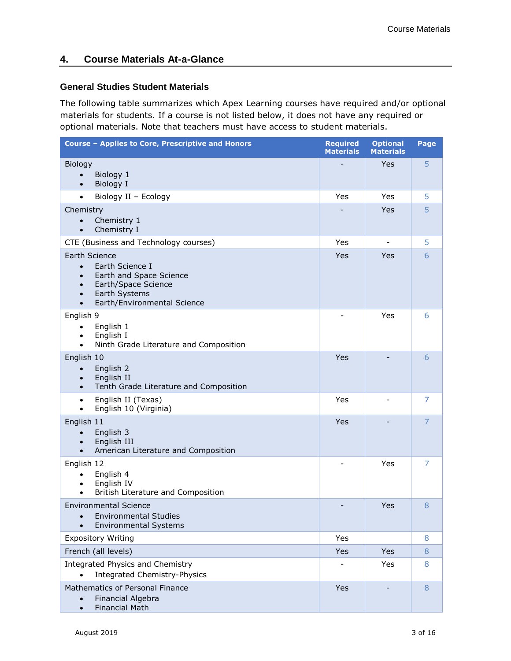# <span id="page-2-0"></span>**4. Course Materials At-a-Glance**

# **General Studies Student Materials**

The following table summarizes which Apex Learning courses have required and/or optional materials for students. If a course is not listed below, it does not have any required or optional materials. Note that teachers must have access to student materials.

| Course - Applies to Core, Prescriptive and Honors                                                                                                                                      | <b>Required</b><br><b>Materials</b> | <b>Optional</b><br><b>Materials</b> | Page           |
|----------------------------------------------------------------------------------------------------------------------------------------------------------------------------------------|-------------------------------------|-------------------------------------|----------------|
| Biology                                                                                                                                                                                |                                     | Yes                                 | 5              |
| Biology 1<br>$\bullet$<br>Biology I<br>$\bullet$                                                                                                                                       |                                     |                                     |                |
| Biology II - Ecology<br>$\bullet$                                                                                                                                                      | Yes                                 | Yes                                 | 5              |
| Chemistry                                                                                                                                                                              |                                     | Yes                                 | 5              |
| Chemistry 1<br>$\bullet$<br>Chemistry I<br>$\bullet$                                                                                                                                   |                                     |                                     |                |
| CTE (Business and Technology courses)                                                                                                                                                  | Yes                                 |                                     | 5              |
| Earth Science<br>Earth Science I<br>$\bullet$<br>Earth and Space Science<br>$\bullet$<br>Earth/Space Science<br>$\bullet$<br>Earth Systems<br>$\bullet$<br>Earth/Environmental Science | Yes                                 | Yes                                 | 6              |
| English 9<br>English 1<br>$\bullet$<br>English I<br>$\bullet$<br>Ninth Grade Literature and Composition<br>$\bullet$                                                                   |                                     | Yes                                 | 6              |
| English 10<br>English 2<br>$\bullet$<br>English II<br>$\bullet$<br>Tenth Grade Literature and Composition                                                                              | Yes                                 |                                     | 6              |
| English II (Texas)<br>$\bullet$<br>English 10 (Virginia)<br>$\bullet$                                                                                                                  | Yes                                 |                                     | 7              |
| English 11<br>English 3<br>English III<br>$\bullet$<br>American Literature and Composition<br>$\bullet$                                                                                | Yes                                 |                                     | $\overline{7}$ |
| English 12<br>English 4<br>$\bullet$<br>English IV<br>$\bullet$<br>British Literature and Composition                                                                                  |                                     | Yes                                 | 7              |
| <b>Environmental Science</b><br><b>Environmental Studies</b><br><b>Environmental Systems</b>                                                                                           |                                     | Yes                                 | 8              |
| <b>Expository Writing</b>                                                                                                                                                              | Yes                                 |                                     | 8              |
| French (all levels)                                                                                                                                                                    | Yes                                 | Yes                                 | 8              |
| Integrated Physics and Chemistry<br>Yes<br><b>Integrated Chemistry-Physics</b><br>$\bullet$                                                                                            |                                     |                                     | 8              |
| Mathematics of Personal Finance<br>Financial Algebra<br><b>Financial Math</b>                                                                                                          | Yes                                 |                                     | 8              |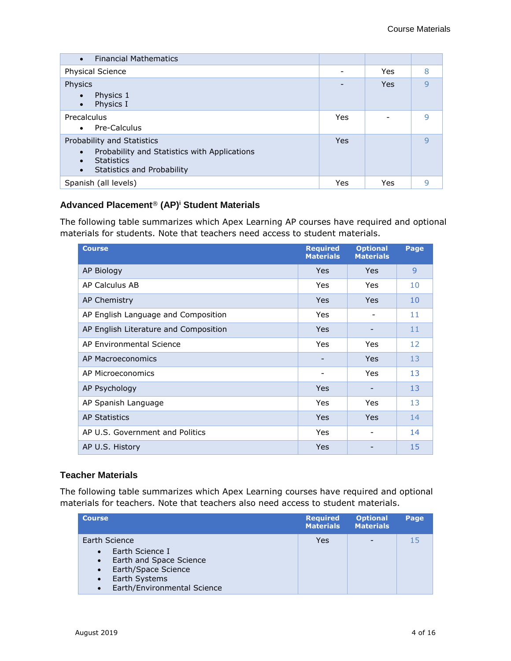| <b>Financial Mathematics</b><br>$\bullet$                                                                                                         |     |     |   |
|---------------------------------------------------------------------------------------------------------------------------------------------------|-----|-----|---|
| Physical Science                                                                                                                                  |     | Yes | 8 |
| Physics                                                                                                                                           |     | Yes | 9 |
| Physics 1<br>Physics I<br>$\bullet$                                                                                                               |     |     |   |
| Precalculus                                                                                                                                       | Yes |     | 9 |
| Pre-Calculus<br>$\bullet$                                                                                                                         |     |     |   |
| Probability and Statistics<br>Probability and Statistics with Applications<br><b>Statistics</b><br><b>Statistics and Probability</b><br>$\bullet$ | Yes |     | q |
| Spanish (all levels)                                                                                                                              | Yes | Yes | 9 |

# <span id="page-3-0"></span>**Advanced Placement**® **(AP)<sup>i</sup> Student Materials**

The following table summarizes which Apex Learning AP courses have required and optional materials for students. Note that teachers need access to student materials.

| <b>Course</b>                         | <b>Required</b><br><b>Materials</b> | <b>Optional</b><br><b>Materials</b> | Page |
|---------------------------------------|-------------------------------------|-------------------------------------|------|
| AP Biology                            | <b>Yes</b>                          | <b>Yes</b>                          | 9    |
| AP Calculus AB                        | Yes                                 | Yes                                 | 10   |
| AP Chemistry                          | <b>Yes</b>                          | Yes                                 | 10   |
| AP English Language and Composition   | Yes                                 |                                     | 11   |
| AP English Literature and Composition | <b>Yes</b>                          |                                     | 11   |
| AP Environmental Science              | Yes                                 | Yes                                 | 12   |
| AP Macroeconomics                     |                                     | <b>Yes</b>                          | 13   |
| AP Microeconomics                     | -                                   | Yes                                 | 13   |
| AP Psychology                         | <b>Yes</b>                          |                                     | 13   |
| AP Spanish Language                   | Yes                                 | Yes                                 | 13   |
| <b>AP Statistics</b>                  | <b>Yes</b>                          | <b>Yes</b>                          | 14   |
| AP U.S. Government and Politics       | Yes                                 |                                     | 14   |
| AP U.S. History                       | Yes                                 |                                     | 15   |

# <span id="page-3-1"></span>**Teacher Materials**

The following table summarizes which Apex Learning courses have required and optional materials for teachers. Note that teachers also need access to student materials.

| <b>Course</b>                                                                                                                                                                                       | <b>Required</b><br><b>Materials</b> | <b>Optional</b><br><b>Materials</b> | Page |
|-----------------------------------------------------------------------------------------------------------------------------------------------------------------------------------------------------|-------------------------------------|-------------------------------------|------|
| Earth Science<br>Earth Science I<br>$\bullet$<br>Earth and Space Science<br>$\bullet$<br>Earth/Space Science<br>$\bullet$<br>Earth Systems<br>$\bullet$<br>Earth/Environmental Science<br>$\bullet$ | Yes                                 |                                     | 15   |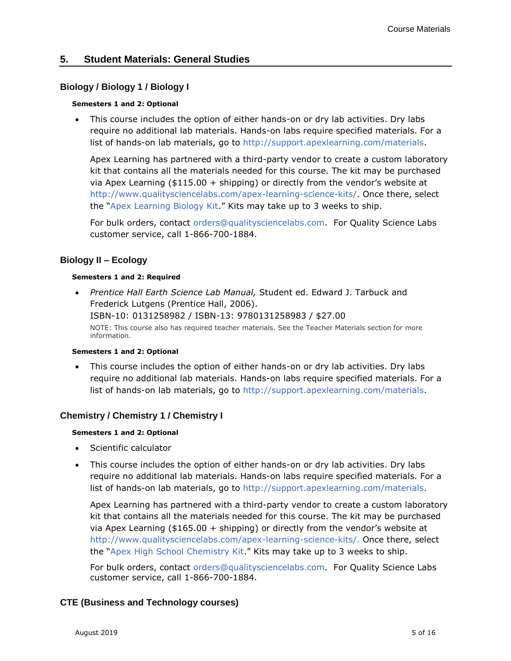# <span id="page-4-1"></span><span id="page-4-0"></span>**5. Student Materials: General Studies**

# **Biology / Biology 1 / Biology I**

#### **Semesters 1 and 2: Optional**

• This course includes the option of either hands-on or dry lab activities. Dry labs require no additional lab materials. Hands-on labs require specified materials. For a list of hands-on lab materials, go to [http://support.apexlearning.com/materials.](http://support.apexlearning.com/materials)

Apex Learning has partnered with a third-party vendor to create a custom laboratory kit that contains all the materials needed for this course. The kit may be purchased via Apex Learning (\$115.00 + shipping) or directly from the vendor's website at [http://www.qualitysciencelabs.com/apex-learning-science-kits/.](http://www.qualitysciencelabs.com/apex-learning-science-kits/) Once there, select the "[Apex Learning Biology Kit](http://www.qualitysciencelabs.com/apex-learning-science-kits/apex-learning-biology-kit/)." Kits may take up to 3 weeks to ship.

For bulk orders, contact [orders@qualitysciencelabs.com.](mailto:orders@qualitysciencelabs.com) For Quality Science Labs customer service, call 1-866-700-1884.

# <span id="page-4-2"></span>**Biology II – Ecology**

#### **Semesters 1 and 2: Required**

• *Prentice Hall Earth Science Lab Manual,* Student ed. Edward J. Tarbuck and Frederick Lutgens (Prentice Hall, 2006). ISBN-10: 0131258982 / ISBN-13: 9780131258983 / \$27.00 NOTE: This course also has required teacher materials. See the Teacher Materials section for more information.

#### **Semesters 1 and 2: Optional**

This course includes the option of either hands-on or dry lab activities. Dry labs require no additional lab materials. Hands-on labs require specified materials. For a list of hands-on lab materials, go to [http://support.apexlearning.com/materials.](http://support.apexlearning.com/materials)

# <span id="page-4-3"></span>**Chemistry / Chemistry 1 / Chemistry I**

#### **Semesters 1 and 2: Optional**

- Scientific calculator
- This course includes the option of either hands-on or dry lab activities. Dry labs require no additional lab materials. Hands-on labs require specified materials. For a list of hands-on lab materials, go to [http://support.apexlearning.com/materials.](http://support.apexlearning.com/materials)

Apex Learning has partnered with a third-party vendor to create a custom laboratory kit that contains all the materials needed for this course. The kit may be purchased via Apex Learning (\$165.00 + shipping) or directly from the vendor's website at [http://www.qualitysciencelabs.com/apex-learning-science-kits/.](http://www.qualitysciencelabs.com/apex-learning-science-kits/) Once there, select the "[Apex High School Chemistry Kit.](http://www.qualitysciencelabs.com/apex-learning-science-kits/apex-high-school-chemistry-kit/)" Kits may take up to 3 weeks to ship.

For bulk orders, contact [orders@qualitysciencelabs.com.](mailto:orders@qualitysciencelabs.com) For Quality Science Labs customer service, call 1-866-700-1884.

# <span id="page-4-4"></span>**CTE (Business and Technology courses)**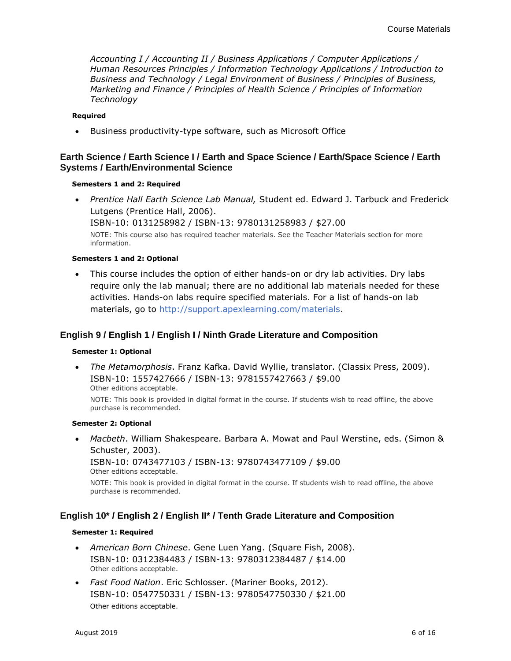*Accounting I / Accounting II / Business Applications / Computer Applications / Human Resources Principles / Information Technology Applications / Introduction to Business and Technology / Legal Environment of Business / Principles of Business, Marketing and Finance / Principles of Health Science / Principles of Information Technology*

#### **Required**

• Business productivity-type software, such as Microsoft Office

# <span id="page-5-0"></span>**Earth Science / Earth Science I / Earth and Space Science / Earth/Space Science / Earth Systems / Earth/Environmental Science**

#### **Semesters 1 and 2: Required**

• *Prentice Hall Earth Science Lab Manual,* Student ed. Edward J. Tarbuck and Frederick Lutgens (Prentice Hall, 2006).

ISBN-10: 0131258982 / ISBN-13: 9780131258983 / \$27.00

NOTE: This course also has required teacher materials. See the Teacher Materials section for more information.

#### **Semesters 1 and 2: Optional**

• This course includes the option of either hands-on or dry lab activities. Dry labs require only the lab manual; there are no additional lab materials needed for these activities. Hands-on labs require specified materials. For a list of hands-on lab materials, go to [http://support.apexlearning.com/materials.](http://support.apexlearning.com/materials)

# <span id="page-5-1"></span>**English 9 / English 1 / English I / Ninth Grade Literature and Composition**

#### **Semester 1: Optional**

• *The Metamorphosis*. Franz Kafka. David Wyllie, translator. (Classix Press, 2009). ISBN-10: 1557427666 / ISBN-13: 9781557427663 / \$9.00 Other editions acceptable.

NOTE: This book is provided in digital format in the course. If students wish to read offline, the above purchase is recommended.

#### **Semester 2: Optional**

• *Macbeth*. William Shakespeare. Barbara A. Mowat and Paul Werstine, eds. (Simon & Schuster, 2003).

ISBN-10: 0743477103 / ISBN-13: 9780743477109 / \$9.00 Other editions acceptable.

<span id="page-5-2"></span>NOTE: This book is provided in digital format in the course. If students wish to read offline, the above purchase is recommended.

# **English 10\* / English 2 / English II\* / Tenth Grade Literature and Composition**

#### **Semester 1: Required**

- *American Born Chinese*. Gene Luen Yang. (Square Fish, 2008). ISBN-10: 0312384483 / ISBN-13: 9780312384487 / \$14.00 Other editions acceptable.
- *Fast Food Nation*. Eric Schlosser. (Mariner Books, 2012). ISBN-10: 0547750331 / ISBN-13: 9780547750330 / \$21.00 Other editions acceptable.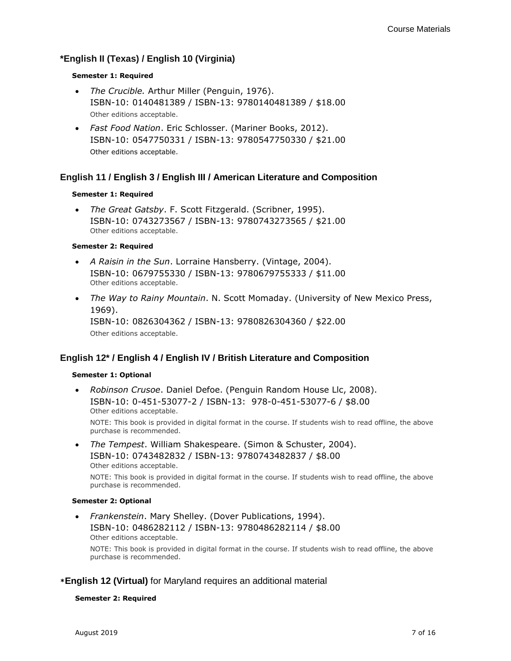# <span id="page-6-0"></span>**\*English II (Texas) / English 10 (Virginia)**

#### **Semester 1: Required**

- *The Crucible.* Arthur Miller (Penguin, 1976). ISBN-10: 0140481389 / ISBN-13: 9780140481389 / \$18.00 Other editions acceptable.
- *Fast Food Nation*. Eric Schlosser. (Mariner Books, 2012). ISBN-10: 0547750331 / ISBN-13: 9780547750330 / \$21.00 Other editions acceptable.

# <span id="page-6-1"></span>**English 11 / English 3 / English III / American Literature and Composition**

### **Semester 1: Required**

• *The Great Gatsby*. F. Scott Fitzgerald. (Scribner, 1995). ISBN-10: 0743273567 / ISBN-13: 9780743273565 / \$21.00 Other editions acceptable.

#### **Semester 2: Required**

- *A Raisin in the Sun*. Lorraine Hansberry. (Vintage, 2004). ISBN-10: 0679755330 / ISBN-13: 9780679755333 / \$11.00 Other editions acceptable.
- *The Way to Rainy Mountain*. N. Scott Momaday. (University of New Mexico Press, 1969). ISBN-10: 0826304362 / ISBN-13: 9780826304360 / \$22.00 Other editions acceptable.

# <span id="page-6-2"></span>**English 12\* / English 4 / English IV / British Literature and Composition**

#### **Semester 1: Optional**

- *Robinson Crusoe*. Daniel Defoe. (Penguin Random House Llc, 2008). ISBN-10: 0-451-53077-2 / ISBN-13: 978-0-451-53077-6 / \$8.00 Other editions acceptable. NOTE: This book is provided in digital format in the course. If students wish to read offline, the above purchase is recommended.
- *The Tempest*. William Shakespeare. (Simon & Schuster, 2004). ISBN-10: 0743482832 / ISBN-13: 9780743482837 / \$8.00 Other editions acceptable. NOTE: This book is provided in digital format in the course. If students wish to read offline, the above

# **Semester 2: Optional**

purchase is recommended.

• *Frankenstein*. Mary Shelley. (Dover Publications, 1994). ISBN-10: 0486282112 / ISBN-13: 9780486282114 / \$8.00 Other editions acceptable.

NOTE: This book is provided in digital format in the course. If students wish to read offline, the above purchase is recommended.

# **\*English 12 (Virtual)** for Maryland requires an additional material

#### **Semester 2: Required**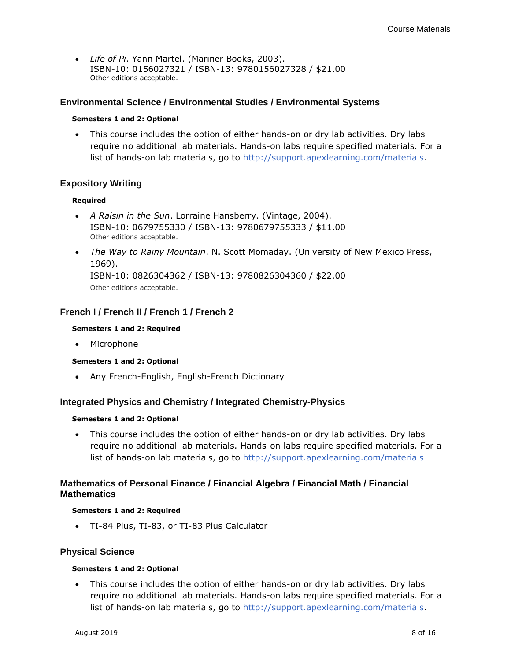<span id="page-7-3"></span>• *Life of Pi*. Yann Martel. (Mariner Books, 2003). ISBN-10: 0156027321 / ISBN-13: 9780156027328 / \$21.00 Other editions acceptable.

# <span id="page-7-0"></span>**Environmental Science / Environmental Studies / Environmental Systems**

#### **Semesters 1 and 2: Optional**

This course includes the option of either hands-on or dry lab activities. Dry labs require no additional lab materials. Hands-on labs require specified materials. For a list of hands-on lab materials, go to [http://support.apexlearning.com/materials.](http://support.apexlearning.com/materials)

### <span id="page-7-1"></span>**Expository Writing**

#### **Required**

- *A Raisin in the Sun*. Lorraine Hansberry. (Vintage, 2004). ISBN-10: 0679755330 / ISBN-13: 9780679755333 / \$11.00 Other editions acceptable.
- *The Way to Rainy Mountain*. N. Scott Momaday. (University of New Mexico Press, 1969). ISBN-10: 0826304362 / ISBN-13: 9780826304360 / \$22.00 Other editions acceptable.

### <span id="page-7-2"></span>**French I / French II / French 1 / French 2**

#### **Semesters 1 and 2: Required**

• Microphone

#### **Semesters 1 and 2: Optional**

• Any French-English, English-French Dictionary

#### **Integrated Physics and Chemistry / Integrated Chemistry-Physics**

#### **Semesters 1 and 2: Optional**

• This course includes the option of either hands-on or dry lab activities. Dry labs require no additional lab materials. Hands-on labs require specified materials. For a list of hands-on lab materials, go to<http://support.apexlearning.com/materials>

# <span id="page-7-4"></span>**Mathematics of Personal Finance / Financial Algebra / Financial Math / Financial Mathematics**

#### **Semesters 1 and 2: Required**

• TI-84 Plus, TI-83, or TI-83 Plus Calculator

#### <span id="page-7-5"></span>**Physical Science**

#### **Semesters 1 and 2: Optional**

• This course includes the option of either hands-on or dry lab activities. Dry labs require no additional lab materials. Hands-on labs require specified materials. For a list of hands-on lab materials, go to [http://support.apexlearning.com/materials.](http://support.apexlearning.com/materials)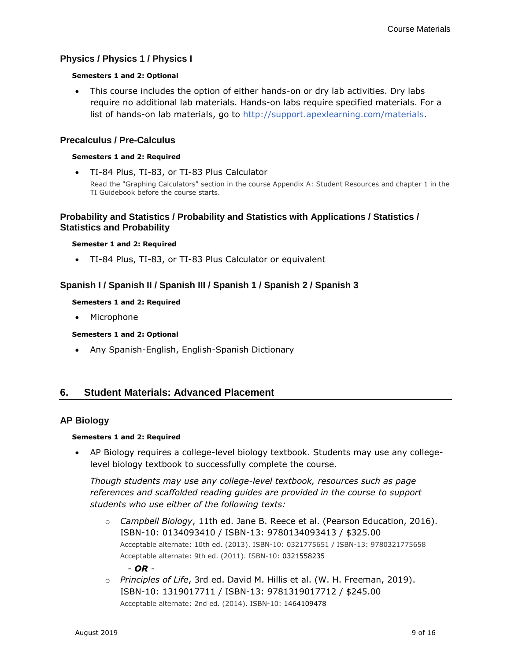# <span id="page-8-1"></span>**Physics / Physics 1 / Physics I**

#### **Semesters 1 and 2: Optional**

• This course includes the option of either hands-on or dry lab activities. Dry labs require no additional lab materials. Hands-on labs require specified materials. For a list of hands-on lab materials, go to [http://support.apexlearning.com/materials.](http://support.apexlearning.com/materials)

### <span id="page-8-2"></span>**Precalculus / Pre-Calculus**

#### **Semesters 1 and 2: Required**

• TI-84 Plus, TI-83, or TI-83 Plus Calculator Read the "Graphing Calculators" section in the course Appendix A: Student Resources and chapter 1 in the TI Guidebook before the course starts.

# **Probability and Statistics / Probability and Statistics with Applications / Statistics / Statistics and Probability**

#### **Semester 1 and 2: Required**

• TI-84 Plus, TI-83, or TI-83 Plus Calculator or equivalent

# <span id="page-8-3"></span>**Spanish I / Spanish II / Spanish III / Spanish 1 / Spanish 2 / Spanish 3**

#### **Semesters 1 and 2: Required**

• Microphone

#### **Semesters 1 and 2: Optional**

• Any Spanish-English, English-Spanish Dictionary

# <span id="page-8-4"></span><span id="page-8-0"></span>**6. Student Materials: Advanced Placement**

#### **AP Biology**

#### **Semesters 1 and 2: Required**

• AP Biology requires a college-level biology textbook. Students may use any collegelevel biology textbook to successfully complete the course.

*Though students may use any college-level textbook, resources such as page references and scaffolded reading guides are provided in the course to support students who use either of the following texts:*

- o *Campbell Biology*, 11th ed. Jane B. Reece et al. (Pearson Education, 2016). ISBN-10: 0134093410 / ISBN-13: 9780134093413 / \$325.00 Acceptable alternate: 10th ed. (2013). ISBN-10: 0321775651 / ISBN-13: 9780321775658 Acceptable alternate: 9th ed. (2011). ISBN-10: 0321558235 *- OR -*
- o *Principles of Life*, 3rd ed. David M. Hillis et al. (W. H. Freeman, 2019). ISBN-10: 1319017711 / ISBN-13: 9781319017712 / \$245.00 Acceptable alternate: 2nd ed. (2014). ISBN-10: 1464109478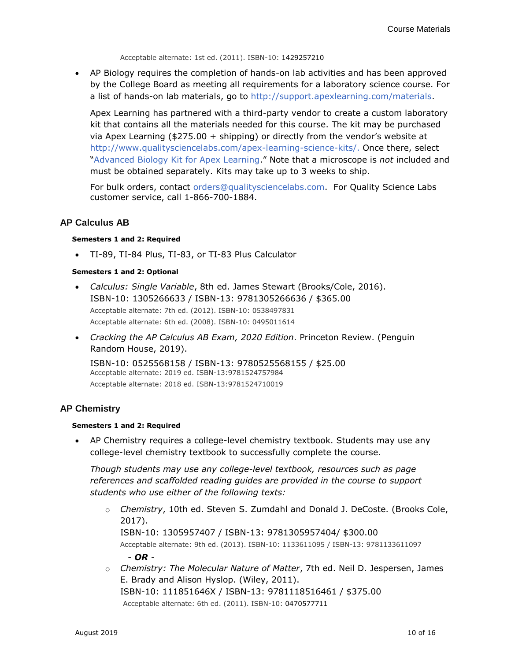Acceptable alternate: 1st ed. (2011). ISBN-10: 1429257210

• AP Biology requires the completion of hands-on lab activities and has been approved by the College Board as meeting all requirements for a laboratory science course. For a list of hands-on lab materials, go to [http://support.apexlearning.com/materials.](http://support.apexlearning.com/materials)

Apex Learning has partnered with a third-party vendor to create a custom laboratory kit that contains all the materials needed for this course. The kit may be purchased via Apex Learning (\$275.00 + shipping) or directly from the vendor's website at [http://www.qualitysciencelabs.com/apex-learning-science-kits/.](http://www.qualitysciencelabs.com/apex-learning-science-kits/) Once there, select "[Advanced Biology Kit for Apex Learning.](http://www.qualitysciencelabs.com/apex-learning-biology/advanced-biology-kit-for-apex-learning/)" Note that a microscope is *not* included and must be obtained separately. Kits may take up to 3 weeks to ship.

<span id="page-9-0"></span>For bulk orders, contact [orders@qualitysciencelabs.com.](mailto:orders@qualitysciencelabs.com) For Quality Science Labs customer service, call 1-866-700-1884.

### **AP Calculus AB**

#### **Semesters 1 and 2: Required**

• TI-89, TI-84 Plus, TI-83, or TI-83 Plus Calculator

#### **Semesters 1 and 2: Optional**

- *Calculus: Single Variable*, 8th ed. James Stewart (Brooks/Cole, 2016). ISBN-10: 1305266633 / ISBN-13: 9781305266636 / \$365.00 Acceptable alternate: 7th ed. (2012). ISBN-10: 0538497831 Acceptable alternate: 6th ed. (2008). ISBN-10: 0495011614
- *Cracking the AP Calculus AB Exam, 2020 Edition*. Princeton Review. (Penguin Random House, 2019).

ISBN-10: 0525568158 / ISBN-13: 9780525568155 / \$25.00 Acceptable alternate: 2019 ed. ISBN-13:9781524757984 Acceptable alternate: 2018 ed. ISBN-13:9781524710019

# <span id="page-9-1"></span>**AP Chemistry**

#### **Semesters 1 and 2: Required**

• AP Chemistry requires a college-level chemistry textbook. Students may use any college-level chemistry textbook to successfully complete the course.

*Though students may use any college-level textbook, resources such as page references and scaffolded reading guides are provided in the course to support students who use either of the following texts:*

- o *Chemistry*, 10th ed. Steven S. Zumdahl and Donald J. DeCoste. (Brooks Cole, 2017). ISBN-10: 1305957407 / ISBN-13: 9781305957404/ \$300.00 Acceptable alternate: 9th ed. (2013). ISBN-10: 1133611095 / ISBN-13: 9781133611097 *- OR -*
- o *Chemistry: The Molecular Nature of Matter*, 7th ed. Neil D. Jespersen, James E. Brady and Alison Hyslop. (Wiley, 2011). ISBN-10: 111851646X / ISBN-13: 9781118516461 / \$375.00

Acceptable alternate: 6th ed. (2011). ISBN-10: 0470577711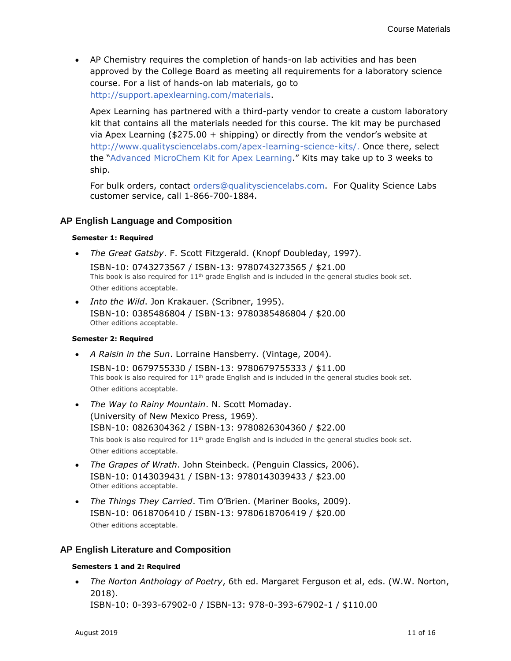• AP Chemistry requires the completion of hands-on lab activities and has been approved by the College Board as meeting all requirements for a laboratory science course. For a list of hands-on lab materials, go to [http://support.apexlearning.com/materials.](http://support.apexlearning.com/materials)

Apex Learning has partnered with a third-party vendor to create a custom laboratory kit that contains all the materials needed for this course. The kit may be purchased via Apex Learning (\$275.00 + shipping) or directly from the vendor's website at [http://www.qualitysciencelabs.com/apex-learning-science-kits/.](http://www.qualitysciencelabs.com/apex-learning-science-kits/) Once there, select the "[Advanced MicroChem Kit for Apex Learning.](http://www.qualitysciencelabs.com/apex-learning-chemistry/advanced-microchem-kit-for-apex-learning-without-manual/)" Kits may take up to 3 weeks to ship.

For bulk orders, contact [orders@qualitysciencelabs.com.](mailto:orders@qualitysciencelabs.com) For Quality Science Labs customer service, call 1-866-700-1884.

# <span id="page-10-0"></span>**AP English Language and Composition**

#### **Semester 1: Required**

• *The Great Gatsby*. F. Scott Fitzgerald. (Knopf Doubleday, 1997).

ISBN-10: 0743273567 / ISBN-13: 9780743273565 / \$21.00 This book is also required for  $11<sup>th</sup>$  grade English and is included in the general studies book set. Other editions acceptable.

• *Into the Wild*. Jon Krakauer. (Scribner, 1995). ISBN-10: 0385486804 / ISBN-13: 9780385486804 / \$20.00 Other editions acceptable.

#### **Semester 2: Required**

• *A Raisin in the Sun*. Lorraine Hansberry. (Vintage, 2004).

ISBN-10: 0679755330 / ISBN-13: 9780679755333 / \$11.00 This book is also required for  $11<sup>th</sup>$  grade English and is included in the general studies book set. Other editions acceptable.

- *The Way to Rainy Mountain*. N. Scott Momaday. (University of New Mexico Press, 1969). ISBN-10: 0826304362 / ISBN-13: 9780826304360 / \$22.00 This book is also required for  $11<sup>th</sup>$  grade English and is included in the general studies book set. Other editions acceptable.
- *The Grapes of Wrath*. John Steinbeck. (Penguin Classics, 2006). ISBN-10: 0143039431 / ISBN-13: 9780143039433 / \$23.00 Other editions acceptable.
- *The Things They Carried*. Tim O'Brien. (Mariner Books, 2009). ISBN-10: 0618706410 / ISBN-13: 9780618706419 / \$20.00 Other editions acceptable.

# <span id="page-10-1"></span>**AP English Literature and Composition**

#### **Semesters 1 and 2: Required**

• *The Norton Anthology of Poetry*, 6th ed. Margaret Ferguson et al, eds. (W.W. Norton, 2018).

ISBN-10: 0-393-67902-0 / ISBN-13: 978-0-393-67902-1 / \$110.00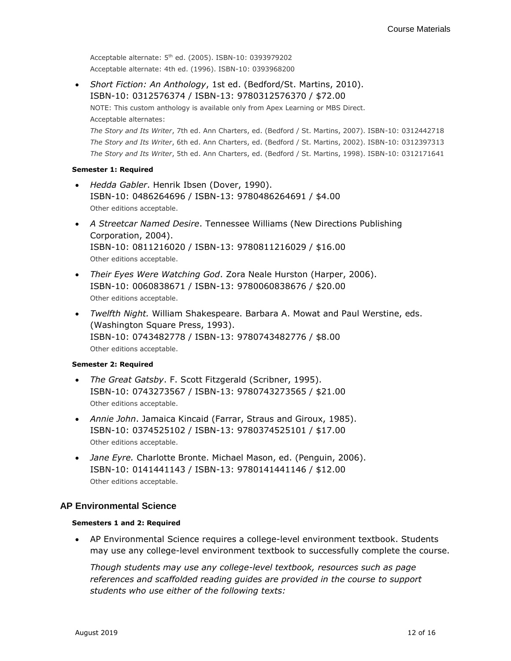Acceptable alternate: 5th ed. (2005). ISBN-10: 0393979202 Acceptable alternate: 4th ed. (1996). ISBN-10: 0393968200

• *Short Fiction: An Anthology*, 1st ed. (Bedford/St. Martins, 2010). ISBN-10: 0312576374 / ISBN-13: 9780312576370 / \$72.00 NOTE: This custom anthology is available only from Apex Learning or MBS Direct. Acceptable alternates: *The Story and Its Writer*, 7th ed. Ann Charters, ed. (Bedford / St. Martins, 2007). ISBN-10: 0312442718 *The Story and Its Writer*, 6th ed. Ann Charters, ed. (Bedford / St. Martins, 2002). ISBN-10: 0312397313 *The Story and Its Writer*, 5th ed. Ann Charters, ed. (Bedford / St. Martins, 1998). ISBN-10: 0312171641

#### **Semester 1: Required**

- *Hedda Gabler*. Henrik Ibsen (Dover, 1990). ISBN-10: 0486264696 / ISBN-13: 9780486264691 / \$4.00 Other editions acceptable.
- *A Streetcar Named Desire*. Tennessee Williams (New Directions Publishing Corporation, 2004). ISBN-10: 0811216020 / ISBN-13: 9780811216029 / \$16.00 Other editions acceptable.
- *Their Eyes Were Watching God*. Zora Neale Hurston (Harper, 2006). ISBN-10: 0060838671 / ISBN-13: 9780060838676 / \$20.00 Other editions acceptable.
- *Twelfth Night.* William Shakespeare. Barbara A. Mowat and Paul Werstine, eds. (Washington Square Press, 1993). ISBN-10: 0743482778 / ISBN-13: 9780743482776 / \$8.00 Other editions acceptable.

#### **Semester 2: Required**

- *The Great Gatsby*. F. Scott Fitzgerald (Scribner, 1995). ISBN-10: 0743273567 / ISBN-13: 9780743273565 / \$21.00 Other editions acceptable.
- *Annie John*. Jamaica Kincaid (Farrar, Straus and Giroux, 1985). ISBN-10: 0374525102 / ISBN-13: 9780374525101 / \$17.00 Other editions acceptable.
- *Jane Eyre.* Charlotte Bronte. Michael Mason, ed. (Penguin, 2006). ISBN-10: 0141441143 / ISBN-13: 9780141441146 / \$12.00 Other editions acceptable.

# **AP Environmental Science**

# <span id="page-11-0"></span>**Semesters 1 and 2: Required**

• AP Environmental Science requires a college-level environment textbook. Students may use any college-level environment textbook to successfully complete the course.

*Though students may use any college-level textbook, resources such as page references and scaffolded reading guides are provided in the course to support students who use either of the following texts:*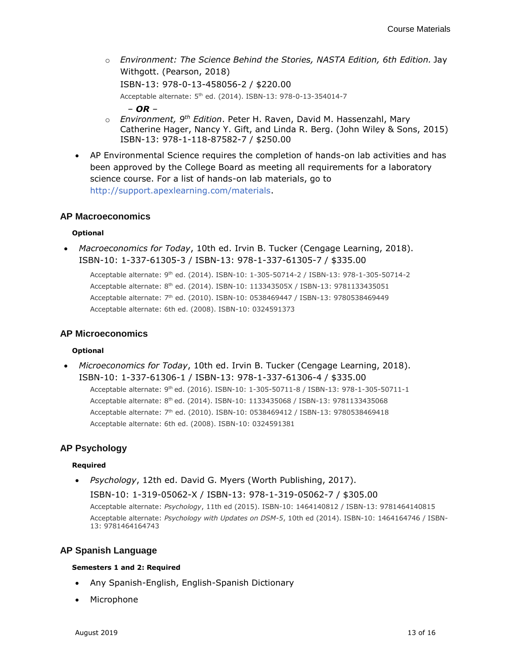- o *Environment: The Science Behind the Stories, NASTA Edition, 6th Edition.* Jay Withgott. (Pearson, 2018) ISBN-13: 978-0-13-458056-2 / \$220.00 Acceptable alternate: 5<sup>th</sup> ed. (2014). ISBN-13: 978-0-13-354014-7 *– OR –*
- o *Environment, 9th Edition*. Peter H. Raven, David M. Hassenzahl, Mary Catherine Hager, Nancy Y. Gift, and Linda R. Berg. (John Wiley & Sons, 2015) ISBN-13: 978-1-118-87582-7 / \$250.00
- AP Environmental Science requires the completion of hands-on lab activities and has been approved by the College Board as meeting all requirements for a laboratory science course. For a list of hands-on lab materials, go to [http://support.apexlearning.com/materials.](http://support.apexlearning.com/materials)

### <span id="page-12-0"></span>**AP Macroeconomics**

#### **Optional**

• *Macroeconomics for Today*, 10th ed. Irvin B. Tucker (Cengage Learning, 2018). ISBN-10: 1-337-61305-3 / ISBN-13: 978-1-337-61305-7 / \$335.00

Acceptable alternate: 9th ed. (2014). ISBN-10: 1-305-50714-2 / ISBN-13: 978-1-305-50714-2 Acceptable alternate: 8th ed. (2014). ISBN-10: 113343505X / ISBN-13: 9781133435051 Acceptable alternate: 7 th ed. (2010). ISBN-10: 0538469447 / ISBN-13: 9780538469449 Acceptable alternate: 6th ed. (2008). ISBN-10: 0324591373

#### **AP Microeconomics**

#### **Optional**

• *Microeconomics for Today*, 10th ed. Irvin B. Tucker (Cengage Learning, 2018). ISBN-10: 1-337-61306-1 / ISBN-13: 978-1-337-61306-4 / \$335.00 Acceptable alternate: 9<sup>th</sup> ed. (2016). ISBN-10: 1-305-50711-8 / ISBN-13: 978-1-305-50711-1 Acceptable alternate: 8th ed. (2014). ISBN-10: 1133435068 / ISBN-13: 9781133435068 Acceptable alternate: 7 th ed. (2010). ISBN-10: 0538469412 / ISBN-13: 9780538469418 Acceptable alternate: 6th ed. (2008). ISBN-10: 0324591381

# <span id="page-12-1"></span>**AP Psychology**

#### **Required**

• *Psychology*, 12th ed. David G. Myers (Worth Publishing, 2017). ISBN-10: 1-319-05062-X / ISBN-13: 978-1-319-05062-7 / \$305.00 Acceptable alternate: *Psychology*, 11th ed (2015). ISBN-10: 1464140812 / ISBN-13: 9781464140815 Acceptable alternate: *Psychology with Updates on DSM-5*, 10th ed (2014). ISBN-10: 1464164746 / ISBN-13: 9781464164743

# <span id="page-12-2"></span>**AP Spanish Language**

#### **Semesters 1 and 2: Required**

- Any Spanish-English, English-Spanish Dictionary
- Microphone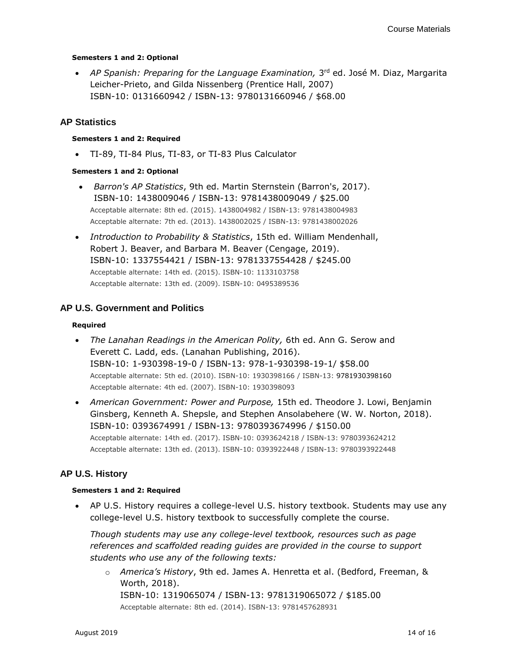#### **Semesters 1 and 2: Optional**

• AP Spanish: Preparing for the Language Examination, 3<sup>rd</sup> ed. José M. Diaz, Margarita Leicher-Prieto, and Gilda Nissenberg (Prentice Hall, 2007) ISBN-10: 0131660942 / ISBN-13: 9780131660946 / \$68.00

# <span id="page-13-0"></span>**AP Statistics**

#### **Semesters 1 and 2: Required**

• TI-89, TI-84 Plus, TI-83, or TI-83 Plus Calculator

### **Semesters 1 and 2: Optional**

- *Barron's AP Statistics*, 9th ed. Martin Sternstein (Barron's, 2017). ISBN-10: 1438009046 / ISBN-13: 9781438009049 / \$25.00 Acceptable alternate: 8th ed. (2015). 1438004982 / ISBN-13: 9781438004983 Acceptable alternate: 7th ed. (2013). 1438002025 / ISBN-13: 9781438002026
- *Introduction to Probability & Statistics*, 15th ed. William Mendenhall, Robert J. Beaver, and Barbara M. Beaver (Cengage, 2019). ISBN-10: 1337554421 / ISBN-13: 9781337554428 / \$245.00 Acceptable alternate: 14th ed. (2015). ISBN-10: 1133103758 Acceptable alternate: 13th ed. (2009). ISBN-10: 0495389536

# <span id="page-13-1"></span>**AP U.S. Government and Politics**

#### **Required**

- *The Lanahan Readings in the American Polity,* 6th ed. Ann G. Serow and Everett C. Ladd, eds. (Lanahan Publishing, 2016). ISBN-10: 1-930398-19-0 / ISBN-13: 978-1-930398-19-1/ \$58.00 Acceptable alternate: 5th ed. (2010). ISBN-10: 1930398166 / ISBN-13: 9781930398160 Acceptable alternate: 4th ed. (2007). ISBN-10: 1930398093
- *American Government: Power and Purpose,* 15th ed. Theodore J. Lowi, Benjamin Ginsberg, Kenneth A. Shepsle, and Stephen Ansolabehere (W. W. Norton, 2018). ISBN-10: 0393674991 / ISBN-13: 9780393674996 / \$150.00 Acceptable alternate: 14th ed. (2017). ISBN-10: 0393624218 / ISBN-13: 9780393624212 Acceptable alternate: 13th ed. (2013). ISBN-10: 0393922448 / ISBN-13: 9780393922448

# **AP U.S. History**

#### **Semesters 1 and 2: Required**

• AP U.S. History requires a college-level U.S. history textbook. Students may use any college-level U.S. history textbook to successfully complete the course.

*Though students may use any college-level textbook, resources such as page references and scaffolded reading guides are provided in the course to support students who use any of the following texts:*

<span id="page-13-2"></span>o *America's History*, 9th ed. James A. Henretta et al. (Bedford, Freeman, & Worth, 2018). ISBN-10: 1319065074 / ISBN-13: 9781319065072 / \$185.00 Acceptable alternate: 8th ed. (2014). ISBN-13: 9781457628931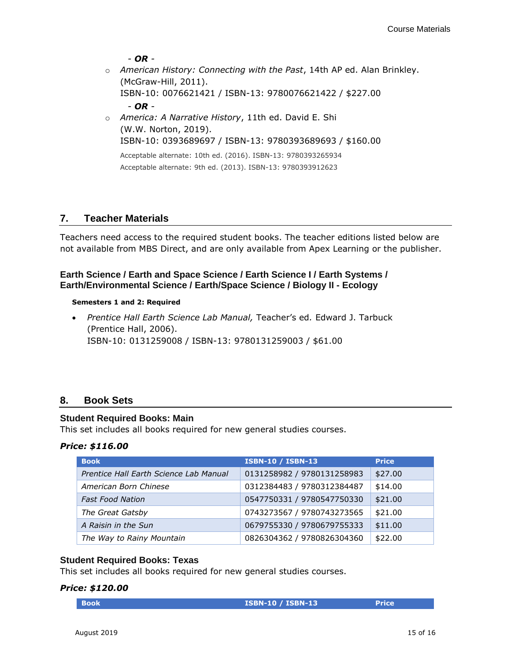*- OR -*

o *American History: Connecting with the Past*, 14th AP ed. Alan Brinkley. (McGraw-Hill, 2011).

ISBN-10: 0076621421 / ISBN-13: 9780076621422 / \$227.00

*- OR -*

o *America: A Narrative History*, 11th ed. David E. Shi (W.W. Norton, 2019). ISBN-10: 0393689697 / ISBN-13: 9780393689693 / \$160.00

Acceptable alternate: 10th ed. (2016). ISBN-13: 9780393265934 Acceptable alternate: 9th ed. (2013). ISBN-13: 9780393912623

# <span id="page-14-0"></span>**7. Teacher Materials**

Teachers need access to the required student books. The teacher editions listed below are not available from MBS Direct, and are only available from Apex Learning or the publisher.

# <span id="page-14-2"></span>**Earth Science / Earth and Space Science / Earth Science I / Earth Systems / Earth/Environmental Science / Earth/Space Science / Biology II - Ecology**

#### **Semesters 1 and 2: Required**

<span id="page-14-1"></span>• *Prentice Hall Earth Science Lab Manual,* Teacher's ed*.* Edward J. Tarbuck (Prentice Hall, 2006). ISBN-10: 0131259008 / ISBN-13: 9780131259003 / \$61.00

# **8. Book Sets**

# **Student Required Books: Main**

This set includes all books required for new general studies courses.

#### *Price: \$116.00*

| <b>Book</b>                            | <b>ISBN-10 / ISBN-13</b>   | <b>Price</b> |
|----------------------------------------|----------------------------|--------------|
| Prentice Hall Earth Science Lab Manual | 0131258982 / 9780131258983 | \$27.00      |
| American Born Chinese                  | 0312384483 / 9780312384487 | \$14.00      |
| <b>Fast Food Nation</b>                | 0547750331 / 9780547750330 | \$21.00      |
| The Great Gatsby                       | 0743273567 / 9780743273565 | \$21.00      |
| A Raisin in the Sun                    | 0679755330 / 9780679755333 | \$11.00      |
| The Way to Rainy Mountain              | 0826304362 / 9780826304360 | \$22.00      |

# **Student Required Books: Texas**

This set includes all books required for new general studies courses.

#### *Price: \$120.00*

| <b>ISBN-10 / ISBN-13</b><br>Price<br><b>Book</b> |  |
|--------------------------------------------------|--|
|--------------------------------------------------|--|